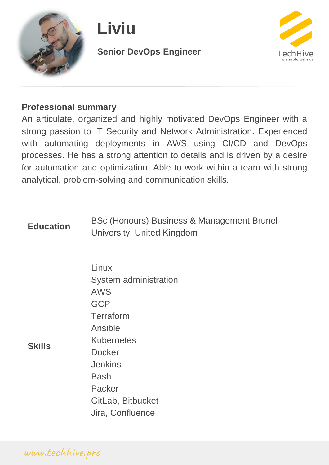

# **Liviu**

#### **Senior DevOps Engineer**



#### **Professional summary**

An articulate, organized and highly motivated DevOps Engineer with a strong passion to IT Security and Network Administration. Experienced with automating deployments in AWS using CI/CD and DevOps processes. He has a strong attention to details and is driven by a desire for automation and optimization. Able to work within a team with strong analytical, problem-solving and communication skills.

| <b>Education</b> | BSc (Honours) Business & Management Brunel<br>University, United Kingdom                                                                                                                                     |
|------------------|--------------------------------------------------------------------------------------------------------------------------------------------------------------------------------------------------------------|
| <b>Skills</b>    | Linux<br>System administration<br><b>AWS</b><br><b>GCP</b><br>Terraform<br>Ansible<br><b>Kubernetes</b><br><b>Docker</b><br><b>Jenkins</b><br><b>Bash</b><br>Packer<br>GitLab, Bitbucket<br>Jira, Confluence |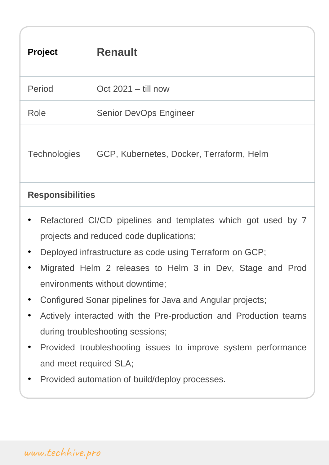| <b>Project</b>      | <b>Renault</b>                           |  |
|---------------------|------------------------------------------|--|
| Period              | Oct $2021 -$ till now                    |  |
| Role                | <b>Senior DevOps Engineer</b>            |  |
| <b>Technologies</b> | GCP, Kubernetes, Docker, Terraform, Helm |  |
|                     |                                          |  |

#### **Responsibilities**

- Refactored CI/CD pipelines and templates which got used by 7 projects and reduced code duplications;
- Deployed infrastructure as code using Terraform on GCP;
- Migrated Helm 2 releases to Helm 3 in Dev, Stage and Prod environments without downtime;
- Configured Sonar pipelines for Java and Angular projects;
- Actively interacted with the Pre-production and Production teams during troubleshooting sessions;
- Provided troubleshooting issues to improve system performance and meet required SLA;
- Provided automation of build/deploy processes.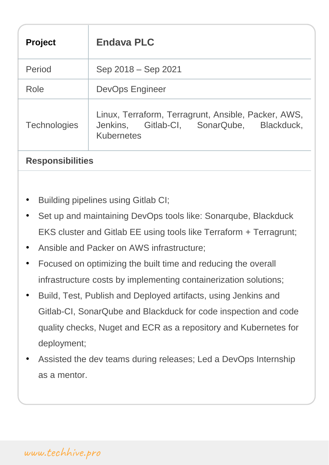| <b>Project</b>          | <b>Endava PLC</b>                                                                                              |
|-------------------------|----------------------------------------------------------------------------------------------------------------|
| Period                  | Sep 2018 – Sep 2021                                                                                            |
| Role                    | <b>DevOps Engineer</b>                                                                                         |
| <b>Technologies</b>     | Linux, Terraform, Terragrunt, Ansible, Packer, AWS,<br>Jenkins, Gitlab-CI, SonarQube, Blackduck,<br>Kubernetes |
| <b>Responsibilities</b> |                                                                                                                |

- Building pipelines using Gitlab CI;
- Set up and maintaining DevOps tools like: Sonarqube, Blackduck EKS cluster and Gitlab EE using tools like Terraform + Terragrunt;
- Ansible and Packer on AWS infrastructure;
- Focused on optimizing the built time and reducing the overall infrastructure costs by implementing containerization solutions;
- Build, Test, Publish and Deployed artifacts, using Jenkins and Gitlab-CI, SonarQube and Blackduck for code inspection and code quality checks, Nuget and ECR as a repository and Kubernetes for deployment;
- Assisted the dev teams during releases; Led a DevOps Internship as a mentor.